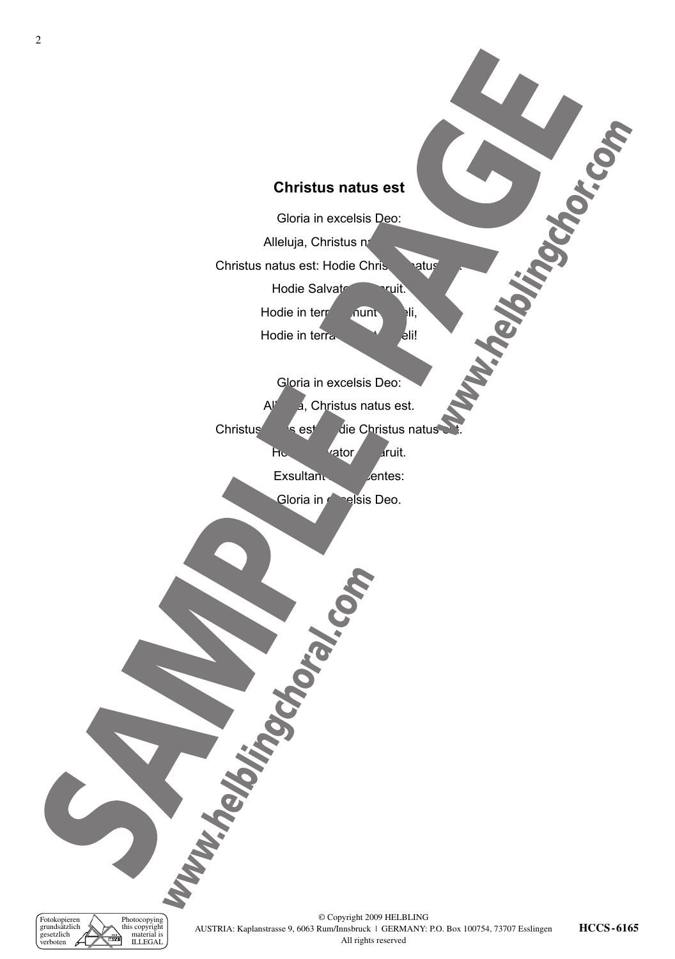## **Christus natus est**

Troches Leon

Gloria in excelsis Deo:

Alleluja, Christus na Alleluja, Christus natus est: Hodie Christus natus est. Hodie Christus natus<br>
Hodie Salvate naturalis nunt plii,<br>
Hodie in terra nunt plii elil!<br>
Hodie in terra nunt plii elil!

Hodie Salvator approximat.

Hodie in terra cannon and all,

Hodie in terra can dil

Gloria in excelsis Deo:

 $A^{\mu}$  *a*, Christus natus est.

Christus sest. die Christus natus

Hodie salvator aruit.

Exsultant dicentes:

Gloria in excelsis Deo.

horizon of

Ingch

Telby: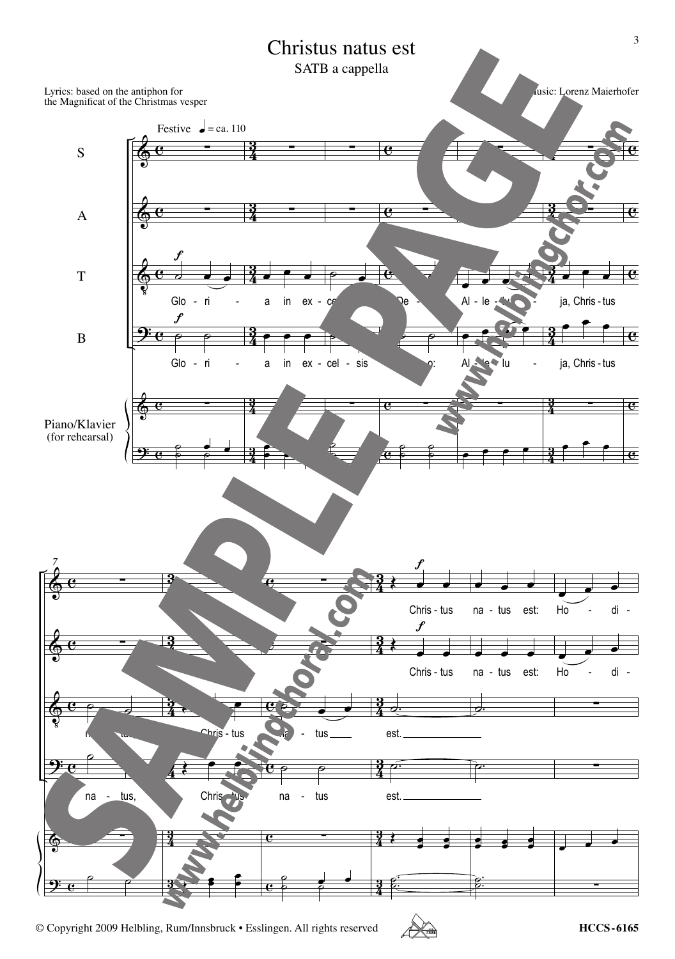

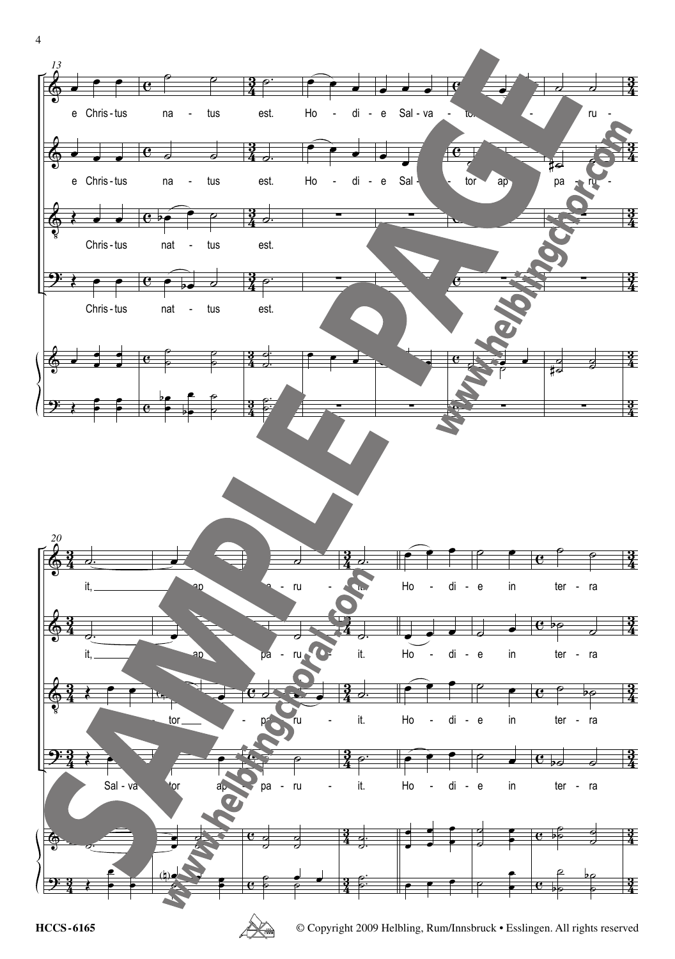

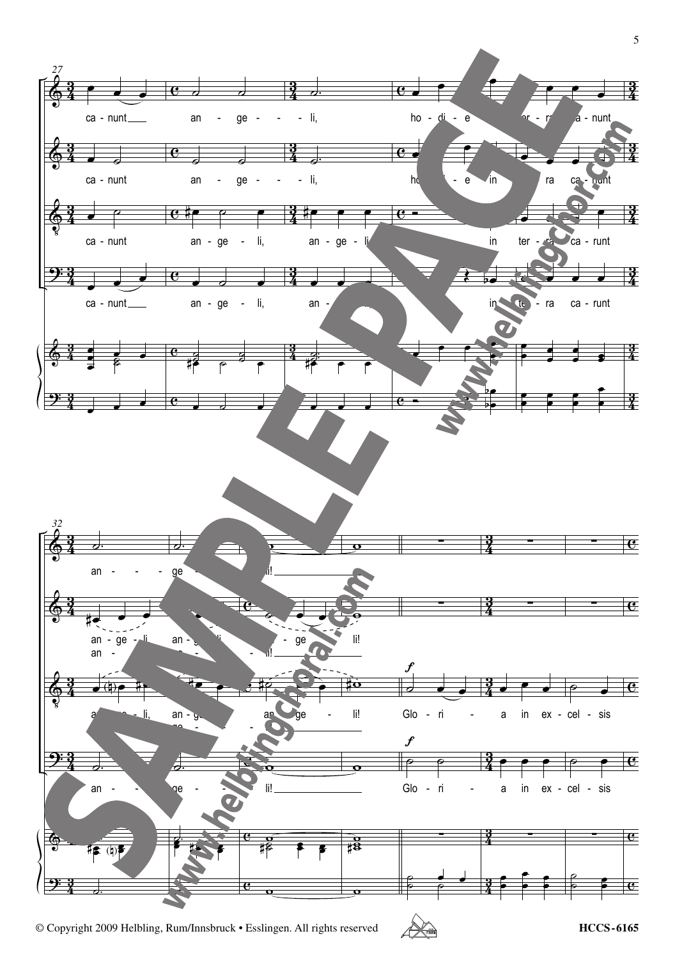



© Copyright 2009 Helbling, Rum/Innsbruck • Esslingen. All rights reserved **HCCS - 6165**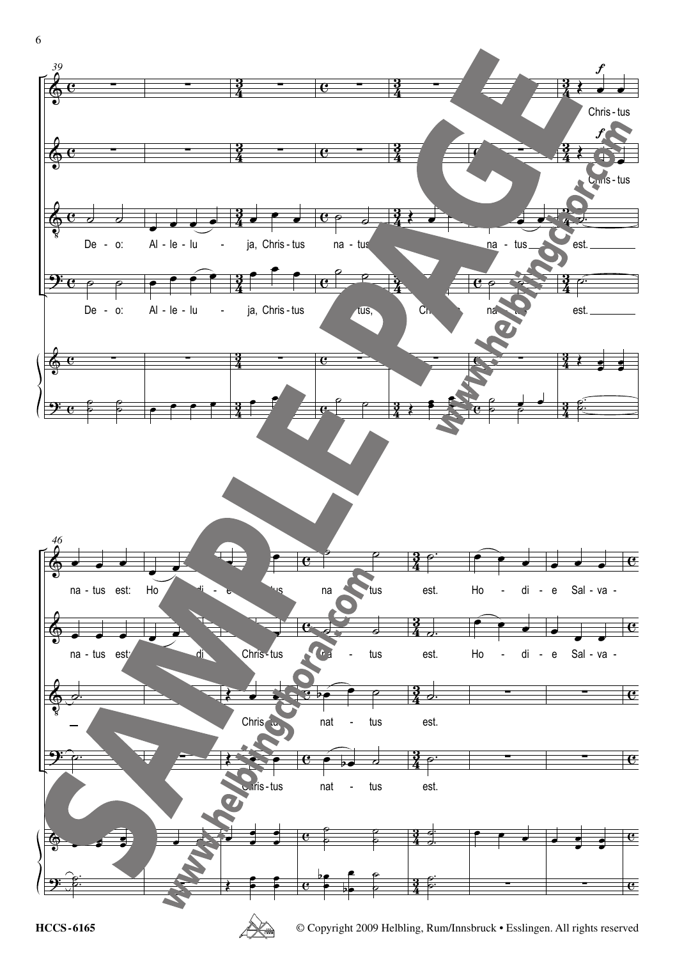